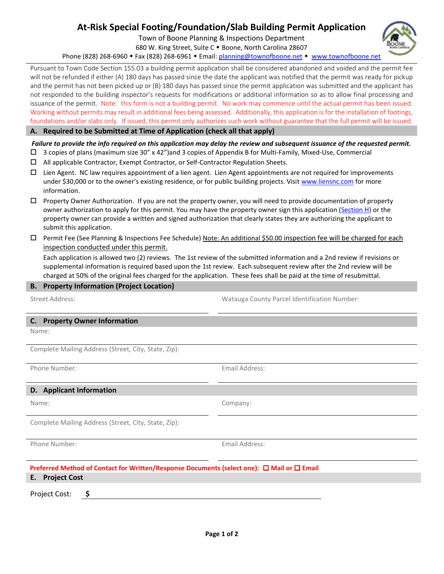# **At-Risk Special Footing/Foundation/Slab Building Permit Application**

Town of Boone Planning & Inspections Department

680 W. King Street, Suite C . Boone, North Carolina 28607

Phone (828) 268-6960 • Fax (828) 268-6961 • Email: [planning@townofboone.net](mailto:planning@townofboone.net) • [www.townofboone.net](http://www.townofboone.net/)

Pursuant to Town Code Section 155.03 a building permit application shall be considered abandoned and voided and the permit fee will not be refunded if either (A) 180 days has passed since the date the applicant was notified that the permit was ready for pickup and the permit has not been picked up or (B) 180 days has passed since the permit application was submitted and the applicant has not responded to the building inspector's requests for modifications or additional information so as to allow final processing and issuance of the permit. Note: this form is not a building permit. No work may commence until the actual permit has been issued. Working without permits may result in additional fees being assessed. Additionally, this application is for the installation of footings, foundations and/or slabs only. If issued, this permit only authorizes such work without guarantee that the full permit will be issued.

## **A. Required to be Submitted at Time of Application (check all that apply)**

*Failure to provide the info required on this application may delay the review and subsequent issuance of the requested permit.*

- 3 copies of plans (maximum size 30" x 42")and 3 copies of Appendix B for Multi-Family, Mixed-Use, Commercial
- All applicable Contractor, Exempt Contractor, or Self-Contractor Regulation Sheets.
- $\square$  Lien Agent. NC law requires appointment of a lien agent. Lien Agent appointments are not required for improvements under \$30,000 or to the owner's existing residence, or for public building projects. Visi[t www.liensnc.com](http://www.liensnc.com/) for more information.
- $\Box$  Property Owner Authorization. If you are not the property owner, you will need to provide documentation of property owner authorization to apply for this permit. You may have the property owner sign this application [\(Section H\)](#page-1-0) or the property owner can provide a written and signed authorization that clearly states they are authorizing the applicant to submit this application.
- $\square$  Permit Fee (See Planning & Inspections Fee Schedule) Note: An additional \$50.00 inspection fee will be charged for each inspection conducted under this permit.

Each application is allowed two (2) reviews. The 1st review of the submitted information and a 2nd review if revisions or supplemental information is required based upon the 1st review. Each subsequent review after the 2nd review will be charged at 50% of the original fees charged for the application. These fees shall be paid at the time of resubmittal.

### **B. Property Information (Project Location)**

Street Address: Watauga County Parcel Identification Number:

#### **C. Property Owner Information**

Name:

Complete Mailing Address (Street, City, State, Zip):

Phone Number: The Contract of the Contract of the Email Address: Email Address:

#### **D. Applicant Information**

Name: Company:

Complete Mailing Address (Street, City, State, Zip):

Phone Number: Email Address:

| Preferred Method of Contact for Written/Response Documents (select one): $\Box$ Mail or $\Box$ Email |  |
|------------------------------------------------------------------------------------------------------|--|
| E. Project Cost                                                                                      |  |

Project Cost: **\$**